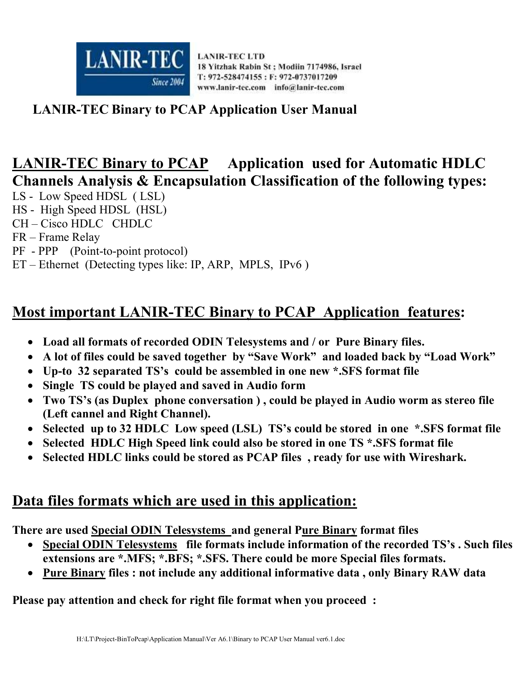

#### **LANIR-TEC Binary to PCAP Application User Manual**

# **LANIR-TEC Binary to PCAP Application used for Automatic HDLC Channels Analysis & Encapsulation Classification of the following types:**

- LS Low Speed HDSL ( LSL)
- HS High Speed HDSL (HSL)
- CH Cisco HDLC CHDLC
- FR Frame Relay
- PF PPP (Point-to-point protocol)
- ET Ethernet (Detecting types like: IP, ARP, MPLS, IPv6 )

## **Most important LANIR-TEC Binary to PCAP Application features:**

- **Load all formats of recorded ODIN Telesystems and / or Pure Binary files.**
- **A lot of files could be saved together by "Save Work" and loaded back by "Load Work"**
- **Up-to 32 separated TS's could be assembled in one new \*.SFS format file**
- **Single TS could be played and saved in Audio form**
- **Two TS's (as Duplex phone conversation ) , could be played in Audio worm as stereo file (Left cannel and Right Channel).**
- **Selected up to 32 HDLC Low speed (LSL) TS's could be stored in one \*.SFS format file**
- **Selected HDLC High Speed link could also be stored in one TS \*.SFS format file**
- **Selected HDLC links could be stored as PCAP files , ready for use with Wireshark.**

#### **Data files formats which are used in this application:**

**There are used Special ODIN Telesystems and general Pure Binary format files** 

- **Special ODIN Telesystems file formats include information of the recorded TS's . Such files extensions are \*.MFS; \*.BFS; \*.SFS. There could be more Special files formats.**
- **Pure Binary files : not include any additional informative data , only Binary RAW data**

**Please pay attention and check for right file format when you proceed :**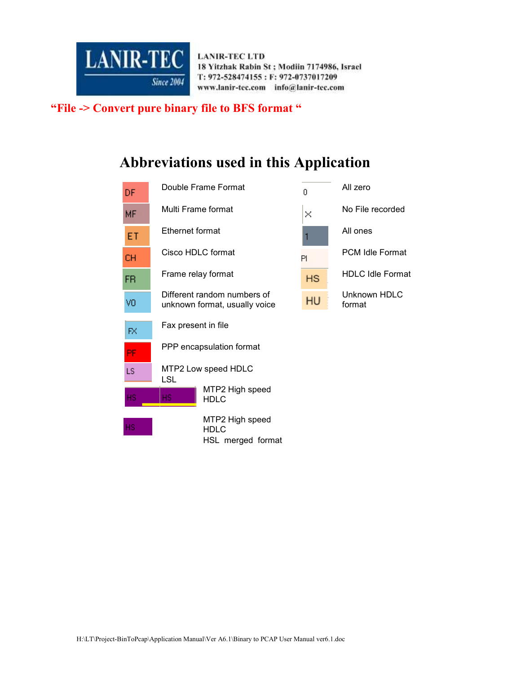

 **"File -> Convert pure binary file to BFS format "** 

## **Abbreviations used in this Application**

| DF.       |                        | Double Frame Format                                          | f.        | All zero                |
|-----------|------------------------|--------------------------------------------------------------|-----------|-------------------------|
| <b>MF</b> |                        | Multi Frame format                                           | ×         | No File recorded        |
| ET        | <b>Ethernet format</b> |                                                              |           | All ones                |
| <b>CH</b> |                        | Cisco HDLC format                                            | PI        | <b>PCM Idle Format</b>  |
| FR.       |                        | Frame relay format                                           | <b>HS</b> | <b>HDLC Idle Format</b> |
| VO.       |                        | Different random numbers of<br>unknown format, usually voice | HU        | Unknown HDLC<br>format  |
| FX        | Fax present in file    |                                                              |           |                         |
| <b>PF</b> |                        | PPP encapsulation format                                     |           |                         |
| LS.       | <b>LSL</b>             | MTP2 Low speed HDLC                                          |           |                         |
| HS.       | HS.                    | MTP2 High speed<br><b>HDLC</b>                               |           |                         |
| HS.       |                        | MTP2 High speed<br><b>HDLC</b><br>HSL merged format          |           |                         |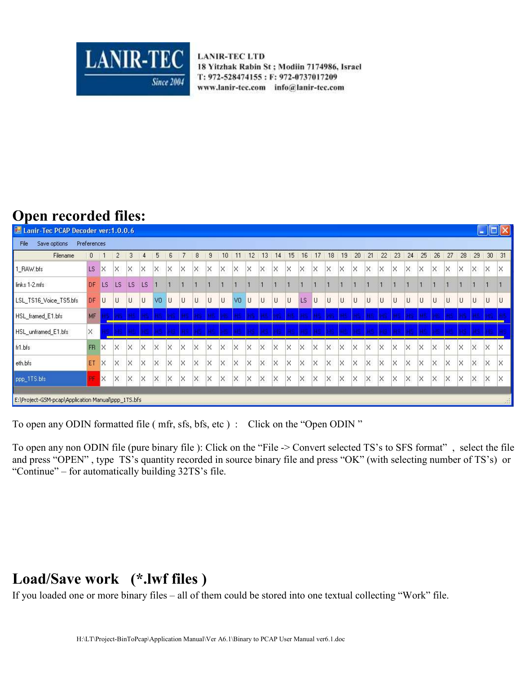

## **Open recorded files:**

| <b>E- Lanir-Tec PCAP Decoder ver:1.0.0.6</b>       |              |          |           |           |          |                |          |    |                   |          |          |                   |          |          |          |    |          |          |          |          |          |          |          |    |          |          |          |          |          | m        |          |          |
|----------------------------------------------------|--------------|----------|-----------|-----------|----------|----------------|----------|----|-------------------|----------|----------|-------------------|----------|----------|----------|----|----------|----------|----------|----------|----------|----------|----------|----|----------|----------|----------|----------|----------|----------|----------|----------|
| File<br>Save options                               | Preferences  |          |           |           |          |                |          |    |                   |          |          |                   |          |          |          |    |          |          |          |          |          |          |          |    |          |          |          |          |          |          |          |          |
| Filename                                           | $\mathbf{0}$ |          |           |           |          | 5              |          |    | 8                 | 9        | 10       |                   | 12       | 3        | 14       | 15 | 16       | 17       | 18       | 19       | 20       | 21       | 22       | 23 | 24       | 25       | 26       | 27       | 28       | 29       | 30       | 31       |
| 1_RAW.bfs                                          | LS           | X        | ×         | ×         | ×        | X              | X        | ΙX | $\times$          | $\times$ | Χ        | X                 | X        | X        | $\times$ | X  | X        | ×        | X        | ×        | X        | $\times$ | X        | X  | X        | X        | Χ        | $\times$ | $\times$ | ×        | ×        | X        |
| links 1-2.mfs                                      | DF           | LS       | <b>LS</b> | <b>LS</b> | LS       |                |          |    |                   |          |          |                   |          |          |          |    |          |          |          |          |          |          |          |    |          |          |          |          |          |          |          |          |
| LSL_TS16_Voice_TS5.bfs                             | DF           | U        | U         | U         | U        | V <sub>0</sub> | IU.      | U  | U                 | U        | U        | V <sub>0</sub>    | ΙU       | U        | U        | Ü  | LS       | U        | U        | $\cup$   | U        | U        | U        | U  | U        | U        | U        | U        | U        | U        | U        | L        |
| HSL_framed_E1.bfs                                  | MF           |          |           |           |          |                |          |    |                   |          |          |                   |          |          |          |    |          |          |          |          |          |          |          | ыs |          | a e      |          |          |          |          |          |          |
| HSL_unframed_E1.bfs                                | $\times$     |          |           |           |          |                |          |    |                   |          |          |                   |          |          |          |    |          |          |          |          |          |          |          |    |          |          |          |          |          |          |          |          |
| fr1.bfs                                            | <b>FR</b>    | $\times$ | X         | $\times$  | $\times$ | $\times$       | $\times$ | X  | $\times$          | $\times$ | $\times$ | $\times$          | $\times$ | $\times$ | $\times$ | X  | $\times$ | ×        | ×        | X        | $\times$ | ΙX       | $\times$ | X  | $\times$ | $\times$ | $\times$ | $\times$ | $\times$ | $\times$ | X        | X        |
| eth.bfs                                            | ET           | $\times$ | $\times$  | $\times$  | $\times$ | $\times$       | $\times$ | ΙX | $\mathsf{\times}$ | $\times$ | $\times$ | $\mathsf{\times}$ | $\times$ | $\times$ | $\times$ | X  | $\times$ | $\times$ | $\times$ | $\times$ | $\times$ | $\times$ | $\times$ | X  | $\times$ | $\times$ | $\times$ | $\times$ | $\times$ | $\times$ | $\times$ | $\times$ |
| ppp_1TS.bfs                                        | 咋            | ΙX       | X         | ×         | X        | ×              | X        | X  | X                 | X        | X        | X                 | X        | $\times$ | $\times$ | ×  | X        | X        | X        | ×        | X        | $\times$ | X        | X  | $\times$ | X        | $\times$ | $\times$ | X        | X        | X        | X        |
| E:\Project-GSM-pcap\Application Manual\ppp_1TS.bfs |              |          |           |           |          |                |          |    |                   |          |          |                   |          |          |          |    |          |          |          |          |          |          |          |    |          |          |          |          |          |          |          | SH.      |

To open any ODIN formatted file ( mfr, sfs, bfs, etc ) : Click on the "Open ODIN "

To open any non ODIN file (pure binary file ): Click on the "File -> Convert selected TS's to SFS format" , select the file and press "OPEN" , type TS's quantity recorded in source binary file and press "OK" (with selecting number of TS's) or "Continue" – for automatically building 32TS's file.

## **Load/Save work (\*.lwf files )**

If you loaded one or more binary files – all of them could be stored into one textual collecting "Work" file.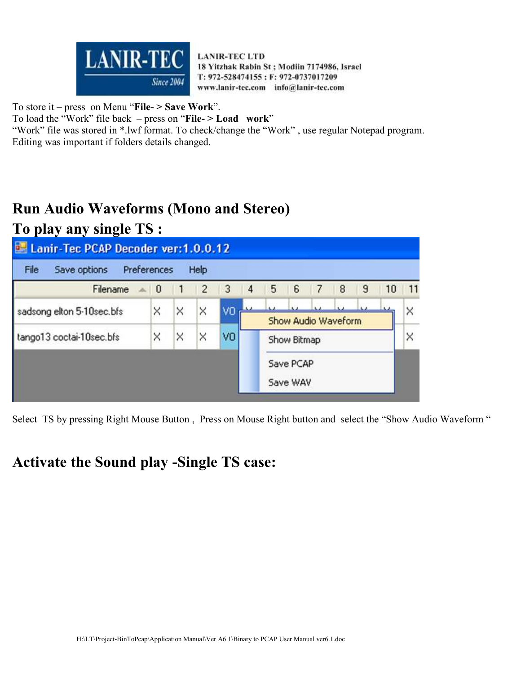

To store it – press on Menu "**File- > Save Work**".

To load the "Work" file back – press on "**File- > Load work**"

"Work" file was stored in \*.lwf format. To check/change the "Work" , use regular Notepad program. Editing was important if folders details changed.

# **Run Audio Waveforms (Mono and Stereo)**

**To play any single TS :** 

| Lanir-Tec PCAP Decoder ver: 1.0.0.12 |          |   |                |    |     |   |             |                          |   |   |    |    |
|--------------------------------------|----------|---|----------------|----|-----|---|-------------|--------------------------|---|---|----|----|
| Preferences<br>File<br>Save options  |          |   | Help           |    |     |   |             |                          |   |   |    |    |
| Filename                             | $\sim$ 0 |   | $\overline{c}$ | 3  | 4   | 5 | 6           | $\overline{\mathcal{L}}$ | 8 | 9 | 10 | 11 |
| sadsong elton 5-10sec.bfs            | ×        | × | X              | ٧O | 3.2 |   |             |                          |   |   |    | ×  |
|                                      |          |   |                |    |     |   |             | Show Audio Waveform      |   |   |    |    |
| tango13 coctai-10sec.bfs             | ×        | × | ×              | VO |     |   | Show Bitmap |                          |   |   |    | ×  |
|                                      |          |   |                |    |     |   | Save PCAP   |                          |   |   |    |    |
|                                      |          |   |                |    |     |   | Save WAV    |                          |   |   |    |    |
|                                      |          |   |                |    |     |   |             |                          |   |   |    |    |

Select TS by pressing Right Mouse Button , Press on Mouse Right button and select the "Show Audio Waveform "

#### **Activate the Sound play -Single TS case:**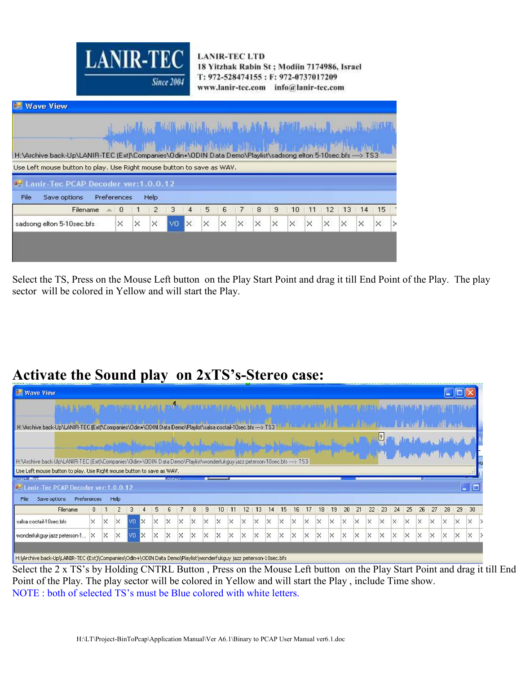| <b>LANIR-TEC</b><br><b>Since 2004</b>                                                                                                                                                                                             | <b>LANIR-TEC LTD</b><br>18 Yitzhak Rabin St; Modiin 7174986, Israel<br>T: 972-528474155: F: 972-0737017209<br>www.lanir-tec.com info@lanir-tec.com |        |         |    |    |    |  |
|-----------------------------------------------------------------------------------------------------------------------------------------------------------------------------------------------------------------------------------|----------------------------------------------------------------------------------------------------------------------------------------------------|--------|---------|----|----|----|--|
| Wave View                                                                                                                                                                                                                         |                                                                                                                                                    |        |         |    |    |    |  |
|                                                                                                                                                                                                                                   |                                                                                                                                                    |        |         |    |    |    |  |
| المصرية بن المواطنة ال <sup>منت</sup> لية وكالم المواطنة المواطنة المواطنة المواطنة المواطنة المواطنة المواطنة.<br>ويمكنك المواطنة المواطنة المواطنة المواطنة المواطنة المواطنة والمواطنة المواطنة المواطنة المواطنة المواطنة الم |                                                                                                                                                    |        |         |    |    |    |  |
| Archive back-Up\LANIR-TEC (Ext)\Companies\Odin+\ODIN Data Demo\Playlist\sadsong elton 5-10sec.bfs ---->                                                                                                                           |                                                                                                                                                    |        |         |    |    |    |  |
| Left mouse button to play. Use Right mouse button to save as WAV.                                                                                                                                                                 |                                                                                                                                                    |        |         |    |    |    |  |
| Lanir-Tec PCAP Decoder ver:1.0.0.12                                                                                                                                                                                               |                                                                                                                                                    |        |         |    |    |    |  |
| Save options<br>Preferences<br>le.<br>Help:                                                                                                                                                                                       |                                                                                                                                                    |        |         |    |    |    |  |
| $\overline{2}$<br>з<br>Filename<br>- 0<br>4                                                                                                                                                                                       | 5<br>6                                                                                                                                             | 7<br>8 | 9<br>10 | 11 | 12 | 13 |  |

H:V

| File<br>Save options      | Preferences |          | Help           |                |                |          |                         |          |          |                     |                 |          |          |          |          |          |
|---------------------------|-------------|----------|----------------|----------------|----------------|----------|-------------------------|----------|----------|---------------------|-----------------|----------|----------|----------|----------|----------|
|                           |             |          |                |                |                |          |                         |          |          |                     |                 |          |          |          |          |          |
| Filename                  | $= 0$       | -1       | $\overline{2}$ | $\overline{3}$ | $\overline{4}$ | 5        | -6                      | 7        | 8        | 9                   | 10 <sup>1</sup> | 11       | 12       | 13       | 14       | 15       |
| sadsong elton 5-10sec.bfs | $\times$    | $\times$ | $\times$       | V <sub>0</sub> | <b>x</b>       | $\times$ | $\overline{\mathsf{x}}$ | $\times$ | $\times$ | $\overline{\times}$ | $\times$        | $\times$ | $\times$ | $\times$ | $\times$ | $\times$ |

Select the TS, Press on the Mouse Left button on the Play Start Point and drag it till End Point of the Play. The play sector will be colored in Yellow and will start the Play.

**Dealers** Hill

#### **Activate the Sound play on 2xTS's-Stereo case:**

| <b>Wave View</b>                                                                                                                                                                                   |              |   |                |                |          |    |                |          |          |   |    |    |    |          |    |          |    |          |          |          |          |          |    |             |          |          |          |          |          |          |                                                     |
|----------------------------------------------------------------------------------------------------------------------------------------------------------------------------------------------------|--------------|---|----------------|----------------|----------|----|----------------|----------|----------|---|----|----|----|----------|----|----------|----|----------|----------|----------|----------|----------|----|-------------|----------|----------|----------|----------|----------|----------|-----------------------------------------------------|
|                                                                                                                                                                                                    |              |   |                |                |          |    |                |          |          |   |    |    |    |          |    |          |    |          |          |          |          |          |    |             |          |          |          |          |          |          |                                                     |
| H:\Archive back-Up\LANIR-TEC (Ext)\Companies\Odin+\ODIN Data Demo\Playlist\salsa coctail-10sec.bfs ----> TS3                                                                                       |              |   |                |                |          |    |                |          |          |   |    |    |    |          |    |          |    |          |          |          |          |          |    |             |          |          |          |          |          |          |                                                     |
|                                                                                                                                                                                                    |              |   |                |                |          |    |                |          |          |   |    |    |    |          |    |          |    |          |          |          |          |          |    | $\boxed{9}$ |          |          |          |          |          |          |                                                     |
|                                                                                                                                                                                                    |              |   |                |                |          |    |                |          |          |   |    |    |    |          |    |          |    |          |          |          |          |          |    |             |          |          |          |          |          |          |                                                     |
| H:\Archive back-Up\LANIR-TEC (Ext)\Companies\Ddin+\DDIN Data Demo\Playlist\wonderfukguy jazz peterson-10sec.bfs ----> TS3<br>Use Left mouse button to play. Use Right mouse button to save as WAV. |              |   |                |                |          |    |                |          |          |   |    |    |    |          |    |          |    |          |          |          |          |          |    |             |          |          |          |          |          |          |                                                     |
| by act. Ford                                                                                                                                                                                       |              |   |                |                |          |    | <b>Incheso</b> |          |          |   |    |    |    |          |    |          |    |          |          |          |          |          |    |             |          |          |          |          |          |          |                                                     |
| <b>E.</b> Lanir-Tec PCAP Decoder ver: 1.0.0.12                                                                                                                                                     |              |   |                |                |          |    |                |          |          |   |    |    |    |          |    |          |    |          |          |          |          |          |    |             |          |          |          |          |          |          | $\overline{\phantom{a}}$ . $\overline{\phantom{a}}$ |
| Preferences<br>Save options<br>File                                                                                                                                                                |              |   | Help           |                |          |    |                |          |          |   |    |    |    |          |    |          |    |          |          |          |          |          |    |             |          |          |          |          |          |          |                                                     |
| Filename                                                                                                                                                                                           | $\mathbf{0}$ |   | $\overline{2}$ | 3              |          | 5. |                |          | 8        | 9 | 10 | 11 | 12 | 13       | 14 | 15       | 16 | 17       | 18       | 19       | 20       | 21       | 22 | 23          | 24       | 25       | 26       | 27       | 28       | 29       | 30                                                  |
| salsa coctail-10sec.bfs                                                                                                                                                                            | X            | X | $\times$       | V <sub>0</sub> | l×.      | X  | $\times$       | $\times$ | $\times$ | × | ×  | X  | X  | $\times$ | ×  | $\times$ | ×  | $\times$ | $\times$ | $\times$ | $\times$ | $\times$ | X  | $\times$    | $\times$ | $\times$ | $\times$ | X        | $\times$ | $\times$ | $\times$                                            |
| wonderfukguy jazz peterson-1                                                                                                                                                                       | ×            | × | ×              | VO             | $\times$ | ×  | ×              | $\times$ | $\times$ | × | ×  |    | ×  |          | ×  |          |    | ×        | ×        | $\times$ | ×        | X        | ×  | $\times$    | $\times$ | $\times$ | $\times$ | $\times$ | $\times$ | ×        | $\times$                                            |
|                                                                                                                                                                                                    |              |   |                |                |          |    |                |          |          |   |    |    |    |          |    |          |    |          |          |          |          |          |    |             |          |          |          |          |          |          |                                                     |
| H:\Archive back-Up\LANIR-TEC (Ext)\Companies\Odin+\ODIN Data Demo\Playlist\wonderfukguy jazz peterson-10sec.bfs                                                                                    |              |   |                |                |          |    |                |          |          |   |    |    |    |          |    |          |    |          |          |          |          |          |    |             |          |          |          |          |          |          |                                                     |

Select the 2 x TS's by Holding CNTRL Button , Press on the Mouse Left button on the Play Start Point and drag it till End Point of the Play. The play sector will be colored in Yellow and will start the Play , include Time show. NOTE : both of selected TS's must be Blue colored with white letters.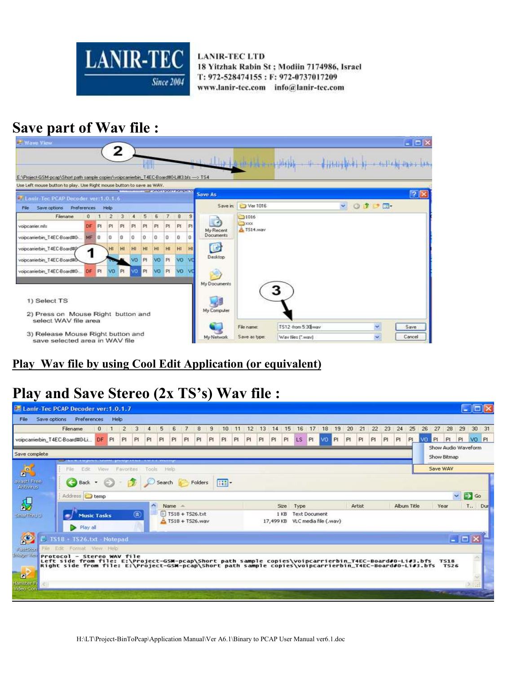

# **Save part of Wav file :**



#### **Play Wav file by using Cool Edit Application (or equivalent)**

## **Play and Save Stereo (2x TS's) Wav file :**

| Save options<br>File                           | Preferences<br>Filename                                                                                                                                                                                           | $\Omega$ | Help<br>$-1$ |                    | 3                            | 4                   |         |         | 7                                       |                | $\overline{9}$ | 10         | 11 | 12 | 13 | 14 | 15          |                 |                      | 18                              | 19 | 20 | 21     | 22  | 23 | 24          | 25 | 26 | 27                                 | 28                         | 29<br>30 <sub>2</sub> | 31    |
|------------------------------------------------|-------------------------------------------------------------------------------------------------------------------------------------------------------------------------------------------------------------------|----------|--------------|--------------------|------------------------------|---------------------|---------|---------|-----------------------------------------|----------------|----------------|------------|----|----|----|----|-------------|-----------------|----------------------|---------------------------------|----|----|--------|-----|----|-------------|----|----|------------------------------------|----------------------------|-----------------------|-------|
| voipcamerbin_T4EC-Board#0-Li                   |                                                                                                                                                                                                                   | DF PL    |              | $\mathbf{2}$<br>PL | PI                           | PI                  | 5<br>PI | 6<br>PI | PI                                      | 8<br>PI        | PI             | PI.        | PI | Pi | P1 | PI | PI          | 16<br><b>LS</b> | 17<br>PI             | <b>VO</b>                       | Pi | PI | PI     | PI. | PI | PI          | PL |    | V3 PL                              | PI                         | P1                    | VO PI |
| Save complete                                  | the state of the financial properties. But the first property is a contrast for                                                                                                                                   |          |              |                    |                              |                     |         |         |                                         |                |                |            |    |    |    |    |             |                 |                      |                                 |    |    |        |     |    |             |    |    | Show Audio Waveform<br>Show Bitmap |                            |                       |       |
| $\overline{6}$                                 | Filk.<br>File                                                                                                                                                                                                     |          |              | View Favorites     |                              | Tools               |         | Help    |                                         |                |                |            |    |    |    |    |             |                 |                      |                                 |    |    |        |     |    |             |    |    | Save WAV                           |                            |                       |       |
| <b>In</b> J<br>avast! Free<br><b>Antivirus</b> | Back -                                                                                                                                                                                                            |          |              |                    |                              |                     | Search  |         |                                         | <b>Folders</b> |                | <b>EFT</b> |    |    |    |    |             |                 |                      |                                 |    |    |        |     |    |             |    |    |                                    |                            |                       |       |
|                                                | Address <b>C</b> temp                                                                                                                                                                                             |          |              |                    |                              |                     |         |         |                                         |                |                |            |    |    |    |    |             |                 |                      |                                 |    |    |        |     |    |             |    |    |                                    | $\sim$                     | ⊢                     | Go    |
| $\mathbf{S}$                                   |                                                                                                                                                                                                                   |          |              |                    |                              | $\hat{\phantom{a}}$ |         | Name.   |                                         |                |                |            |    |    |    |    | <b>Size</b> | Type            |                      |                                 |    |    | Artist |     |    | Album Title |    |    | Year                               |                            | T.,                   | Dur   |
| sparting of                                    | <b>Music Tasks</b><br>Play all                                                                                                                                                                                    |          |              |                    | $\left( \circledast \right)$ |                     |         |         | $E$ T518 + T526.bd<br>E T518 + T526.wav |                |                |            |    |    |    |    | 1 KB        |                 | <b>Text Document</b> | 17,499 KB VLC media file (.wav) |    |    |        |     |    |             |    |    |                                    |                            |                       |       |
|                                                | TS18 - TS26.txt - Notepad                                                                                                                                                                                         |          |              |                    |                              |                     |         |         |                                         |                |                |            |    |    |    |    |             |                 |                      |                                 |    |    |        |     |    |             |    |    |                                    | $-1$ $\Box$                |                       |       |
| <b>Raid-Store</b>                              | File Edit: Format View Help                                                                                                                                                                                       |          |              |                    |                              |                     |         |         |                                         |                |                |            |    |    |    |    |             |                 |                      |                                 |    |    |        |     |    |             |    |    |                                    |                            |                       |       |
| Insecuring Protocol - Stereo WAV file          | Left side from file: E:\Project-GSM-pcap\Short path sample copies\voipcarrierbin_T4EC-Board#0-Li#3.bfs<br>Right side from file: E:\Project-GSM-pcap\Short path sample copies\voipcarrierbin_T4EC-Board#0-Li#3.bfs |          |              |                    |                              |                     |         |         |                                         |                |                |            |    |    |    |    |             |                 |                      |                                 |    |    |        |     |    |             |    |    |                                    | <b>T518</b><br><b>TS26</b> |                       |       |
| $\blacksquare$                                 |                                                                                                                                                                                                                   |          |              |                    |                              |                     |         |         |                                         |                |                |            |    |    |    |    |             |                 |                      |                                 |    |    |        |     |    |             |    |    |                                    |                            |                       |       |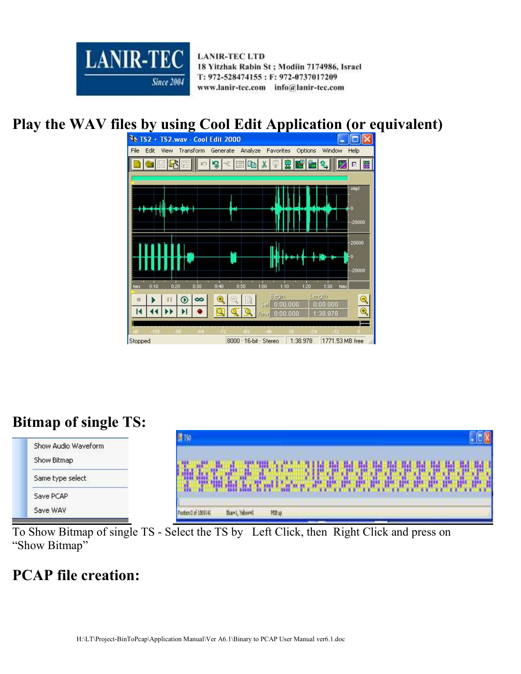

# **Play the WAV files by using Cool Edit Application (or equivalent)**



# **Bitmap of single TS:**

| Show Audio Waveform | <b>E</b> TVO                                              |
|---------------------|-----------------------------------------------------------|
| Show Bitmap         |                                                           |
| Same type select    |                                                           |
| Save PCAP           | tî.                                                       |
| Save WAV            | <b>YEB</b> up<br>anticività di Covatina<br>Ske=1, Yelow=0 |

To Show Bitmap of single TS - Select the TS by Left Click, then Right Click and press on "Show Bitmap"

## **PCAP file creation:**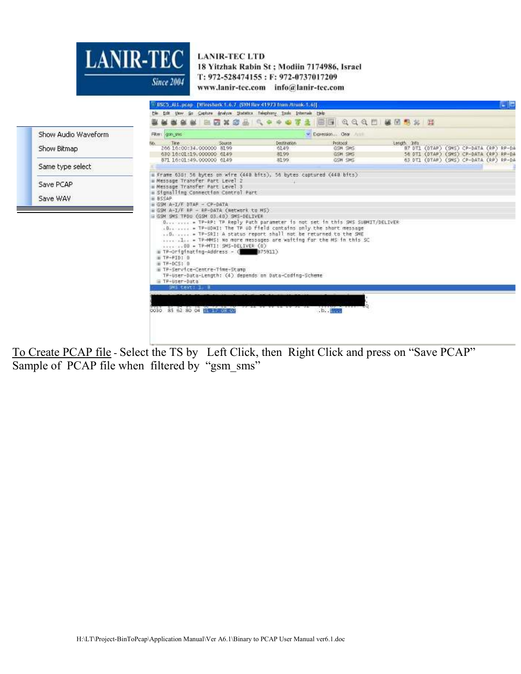

|                  |                     |                                                                                                                                                                                                                                                               | BSC5_AkL.pcap Pffiresbark 1.6.7 (SVN Rev 41973 from /trunk-1.6)]                                                                                                                                                                                                                                                                        |                                 |              | CE                                                                               |
|------------------|---------------------|---------------------------------------------------------------------------------------------------------------------------------------------------------------------------------------------------------------------------------------------------------------|-----------------------------------------------------------------------------------------------------------------------------------------------------------------------------------------------------------------------------------------------------------------------------------------------------------------------------------------|---------------------------------|--------------|----------------------------------------------------------------------------------|
|                  |                     |                                                                                                                                                                                                                                                               | the tilt they to Capture (mayor Statistics Telephony tools triumals tieb                                                                                                                                                                                                                                                                |                                 |              |                                                                                  |
|                  |                     |                                                                                                                                                                                                                                                               | 医后翼震击 气中                                                                                                                                                                                                                                                                                                                                | <b>BBQQQD UBBS H</b>            |              |                                                                                  |
|                  | Show Audio Waveform | Filter: gsm sns                                                                                                                                                                                                                                               |                                                                                                                                                                                                                                                                                                                                         | V Expression Oear<br>J118       |              |                                                                                  |
| Show Bitmap      |                     | Source<br>Tine.<br>206 16:00:34,000000 8199<br>630 16:01:19.000000 6149                                                                                                                                                                                       | <b>Destination</b><br>6149<br>8199                                                                                                                                                                                                                                                                                                      | Protocol.<br>GSM SMS<br>GSM SMS | Length Site: | B7 DT1 (DTAP) (SMS) CP-DATA (RP) RP-DA<br>56 DTI (DTAP) (SMS) CP-DATA (RP) RP-DA |
| Same type select |                     | 871 16:01:49,000000 6149                                                                                                                                                                                                                                      | <b>B1991</b>                                                                                                                                                                                                                                                                                                                            | GSM SMS                         |              | 63.DT1 (DTAP) (SMS) CP-DATA (RP) RP-DA                                           |
| Save PCAP        |                     | a Frame 638: 56 bytes on wire (448 bits), 56 bytes captured (448 bits)<br>a Message Transfer Part Level 2<br>a Message Transfer Part Level 3<br>a Signalling Connection Control Part                                                                          |                                                                                                                                                                                                                                                                                                                                         |                                 |              |                                                                                  |
| Save WAV         |                     | <b>B BSSAP</b><br>$\#$ GSM A-1/F DTAR - CP-DATA                                                                                                                                                                                                               |                                                                                                                                                                                                                                                                                                                                         |                                 |              |                                                                                  |
|                  |                     | a GSM A-1/F RR - RP-DATA (Network to MS)<br>E GSM SMS TROU (GSM 03.40) SMS-DELIVER<br>00 = TP-MTI: SMS-DELIVER (0)<br>E TP-Originating-Address - Q 875911)<br>⊞ TP-PID: 0<br>⊞ TR-DCS: 0<br>⊞ TP-Service-Centre-Time-Stamp<br>E TP-User-Data<br>SMS text: 1 B | D  = TP-RP: TP Reply Path parameter is not set in this SMS SUBMIT/DELIVER<br>.0 = TP-UDHI: The TP UD field contains only the short message<br>0.  = TP-SRI: A status report shall not be returned to the SME<br>I TP-MMS; No more messages are waiting for the MS in this SC.<br>TP-User-Data-Length: (4) depends on Data-Coding-Scheme |                                 |              |                                                                                  |
|                  |                     | 0030 85 62 80 04 BE FR VEHICLE                                                                                                                                                                                                                                |                                                                                                                                                                                                                                                                                                                                         | . 1.                            |              |                                                                                  |
|                  |                     |                                                                                                                                                                                                                                                               |                                                                                                                                                                                                                                                                                                                                         |                                 |              |                                                                                  |

To Create PCAP file - Select the TS by Left Click, then Right Click and press on "Save PCAP" Sample of PCAP file when filtered by "gsm\_sms"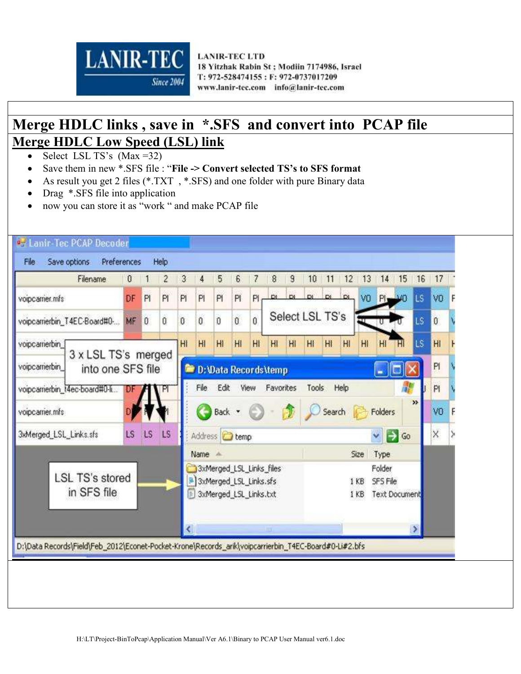

## **Merge HDLC links , save in \*.SFS and convert into PCAP file Merge HDLC Low Speed (LSL) link**

- Select LSL TS's (Max =32)
- Save them in new \*.SFS file : "**File -> Convert selected TS's to SFS format**
- As result you get 2 files (\*.TXT, \*.SFS) and one folder with pure Binary data
- Drag \*.SFS file into application
- now you can store it as "work " and make PCAP file

| Filename                                                 | $\mathbf{0}$ |                | $\overline{c}$ | $\mathfrak{Z}$ | 4                                                | 5                | 6            | 7            | 8                              | $\overline{9}$ | 10              | 11              | 12             | 13              | 14                 | 15                   | 16            | 17              |   |
|----------------------------------------------------------|--------------|----------------|----------------|----------------|--------------------------------------------------|------------------|--------------|--------------|--------------------------------|----------------|-----------------|-----------------|----------------|-----------------|--------------------|----------------------|---------------|-----------------|---|
| voipcamer.mfs                                            | DF           | P1             | PI             | P1             | P1                                               | PI               | PI.          | PI           | DI.                            | D <sub>1</sub> | $\mathbf{D}$    | D1              |                | <b>DL</b> VO PI |                    |                      | LS            | V <sub>0</sub>  | F |
| voipcamerbin_T4EC-Board#0-                               | MF           | $\overline{0}$ | Û              | $\mathbf{0}$   | $\mathfrak{o}$                                   | $\boldsymbol{0}$ | $\mathbf{0}$ | $\mathbf{0}$ |                                |                | Select LSL TS's |                 |                |                 |                    |                      | LS.           | $\overline{0}$  |   |
| voipcamerbin                                             |              |                |                | HI             | H1                                               | H1               | HI           | H1           | H1                             | HI             | H <sub>l</sub>  | H <sub>II</sub> | H <sub>1</sub> | H1              | H1                 | Ήl                   | LS            | H <sub>II</sub> |   |
| 3 x LSL TS's merged<br>voipcamerbin<br>into one SFS file |              |                |                |                |                                                  |                  |              |              | <b>D:</b> D: Data Records temp |                |                 |                 |                |                 | w                  |                      |               | PI              |   |
| voipcamerbin_t4ec-board#0-li                             | 10F          |                | TРI            |                | File.                                            | Edit             | View         |              | Favorites                      |                | Tools           |                 | Help           |                 |                    |                      |               | PI              |   |
| voipcarrier.mfs                                          |              |                |                |                |                                                  |                  | Back *       |              |                                |                |                 | Search          |                |                 | Folders            |                      | »             | VO              |   |
| 3xMerged_LSL_Links.sfs                                   | LS           | L <sub>S</sub> | <b>LS</b>      |                | Address <b>C</b> temp                            |                  |              |              |                                |                |                 |                 |                |                 | I→<br>$\checkmark$ | Go                   |               | $\times$        |   |
|                                                          |              |                |                |                | Name =                                           |                  |              |              |                                |                |                 |                 |                | Size            | Type               |                      |               |                 |   |
| <b>LSL TS's stored</b><br>in SFS file                    |              |                |                |                | 3xMerged_LSL_Links.sfs<br>3xMerged_LSL_Links.txt |                  |              |              | 3xMerged_LSL_Links_files       |                |                 |                 |                | 1 KB<br>1 KB    | Folder<br>SFS File | <b>Text Document</b> |               |                 |   |
|                                                          |              |                |                | ≤.             |                                                  |                  |              |              | <b>JIII</b>                    |                |                 |                 |                |                 |                    |                      | $\rightarrow$ |                 |   |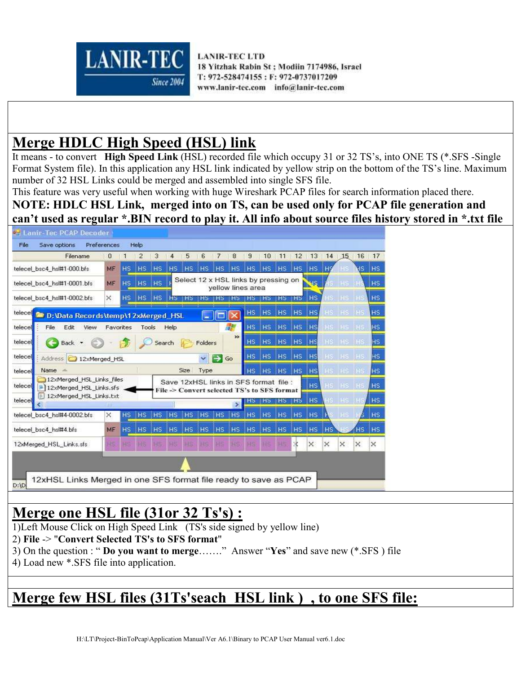

# **Merge HDLC High Speed (HSL) link**

It means - to convert **High Speed Link** (HSL) recorded file which occupy 31 or 32 TS's, into ONE TS (\*.SFS -Single Format System file). In this application any HSL link indicated by yellow strip on the bottom of the TS's line. Maximum number of 32 HSL Links could be merged and assembled into single SFS file.

This feature was very useful when working with huge Wireshark PCAP files for search information placed there.

**NOTE: HDLC HSL Link, merged into on TS, can be used only for PCAP file generation and can't used as regular \*.BIN record to play it. All info about source files history stored in \*.txt file** 

| <b>PH Lanir-Tec PCAP Decoder</b><br>Save options<br>File         | Preferences  |                | Help           |                 |           |                               |              |                   |                                                                                       |                |           |                |           |                |           |          |          |                |
|------------------------------------------------------------------|--------------|----------------|----------------|-----------------|-----------|-------------------------------|--------------|-------------------|---------------------------------------------------------------------------------------|----------------|-----------|----------------|-----------|----------------|-----------|----------|----------|----------------|
| Filename                                                         | $\mathbf{0}$ | $\blacksquare$ | 2              | 3               | 4         | 5                             | 6            | 7                 | 8                                                                                     | 9              | 10        | 11             | 12        | 13             | 14        | 15       | 16       | 17             |
| telecel bsc4 hsl#1-000.bfs                                       | MF           | H <sub>S</sub> | H <sub>S</sub> | H <sub>S</sub>  | <b>HS</b> | <b>HS</b>                     | <b>HS</b>    | H <sub>S</sub>    | HS:                                                                                   | H <sub>S</sub> | HS.       | HS.            |           | HS HS          |           |          |          | <b>HS</b> HS   |
| telecel bsc4 hsl#1-0001.bfs                                      | MF           |                |                | HS HS HS        |           |                               |              |                   | Select 12 x HSL links by pressing on<br>yellow lines area                             |                |           |                |           | ue.            |           | S HS HS  |          | <b>HS</b>      |
| telecel bsc4 hsl#1-0002.bfs                                      | $\times$     |                |                | HS HS HS        |           | H <sub>2</sub> H <sub>2</sub> | 1H5          |                   |                                                                                       |                |           | нь             | нs        | <b>HS</b>      |           | IS HS HS |          | I HS           |
| telecel<br>D: \Data Records\temp\12xMerged_HSL                   |              |                |                |                 |           |                               | m.           | <b>The Second</b> |                                                                                       |                |           | HS HS HS HS    |           | <b>HS</b>      |           | HS HS HS |          | <b>HS</b>      |
| Edit<br>telecel<br>View<br>File                                  |              | Favorites      |                | Tools           | Help      |                               |              |                   | <b>Identification</b>                                                                 | HS.            |           | HS HS HS HS    |           |                |           | HS HS HS |          | H <sub>S</sub> |
| telecel<br>Back -                                                |              |                |                |                 | Search    |                               | Folders      |                   | »                                                                                     | HS.            |           | HS HS HS HS    |           |                |           | HS HS HS |          | HS.            |
| telecel<br>Address 12xMerged_HSL                                 |              |                |                |                 |           |                               | $\checkmark$ | ⊢                 | Go                                                                                    | HS.            |           | HS HS HS HS    |           |                |           | HS HS HS |          | HS.            |
| Name -<br>telecel                                                |              |                |                |                 |           | Size                          | Type         |                   |                                                                                       | H <sub>S</sub> | <b>HS</b> | HS HS HS       |           |                |           | HS HS HS |          | <b>HS</b>      |
| 12xMerged HSL Links files<br>telecel<br>12xMerged_HSL_Links.sfs  |              |                |                |                 |           |                               |              |                   | Save 12xHSL links in SFS format file :<br>File -> Convert selected TS's to SFS format |                |           |                |           | <b>HS</b>      |           | HS HS HS |          | H <sub>S</sub> |
| 12xMerged_HSL_Links.txt<br>telecel                               |              |                |                |                 |           |                               |              |                   | ь                                                                                     | нэ             | <b>HS</b> | HS HS          |           | HS.            |           |          |          | <b>HS</b>      |
| telecel_bsc4_hsl#4-0002.bfs                                      | ×            | <b>HS</b>      | HS.            | IH <sub>S</sub> | <b>HS</b> | HS                            | $ $ HS       | <b>HS</b>         | H <sub>S</sub>                                                                        | <b>HS</b>      | <b>HS</b> | <b>HS</b>      | <b>HS</b> | H <sub>S</sub> |           |          |          | <b>HS</b>      |
| telecel bsc4 hsl#4.bfs                                           | MF           | H <sub>S</sub> | H <sub>S</sub> | H <sub>S</sub>  |           | HS HS                         | <b>HS</b>    | HS:               | <b>HS</b>                                                                             | H <sub>S</sub> | <b>HS</b> | H <sub>S</sub> | <b>HS</b> | <b>HS</b>      | <b>HS</b> |          | HS.      | <b>HS</b>      |
| 12xMerged HSL Links.sfs                                          |              |                |                |                 |           |                               |              |                   |                                                                                       |                |           |                |           | $\times$       | $\times$  | $\times$ | $\times$ | $\times$       |
| 12xHSL Links Merged in one SFS format file ready to save as PCAP |              |                |                |                 |           |                               |              |                   |                                                                                       |                |           |                |           |                |           |          |          |                |
| D:1D                                                             |              |                |                |                 |           |                               |              |                   |                                                                                       |                |           |                |           |                |           |          |          |                |

## **Merge one HSL file (31or 32 Ts's) :**

- 1)Left Mouse Click on High Speed Link (TS's side signed by yellow line)
- 2) **File** -> "**Convert Selected TS's to SFS format**"
- 3) On the question : " **Do you want to merge**……." Answer "**Yes**" and save new (\*.SFS ) file
- 4) Load new \*.SFS file into application.

# **Merge few HSL files (31Ts'seach HSL link ) , to one SFS file:**